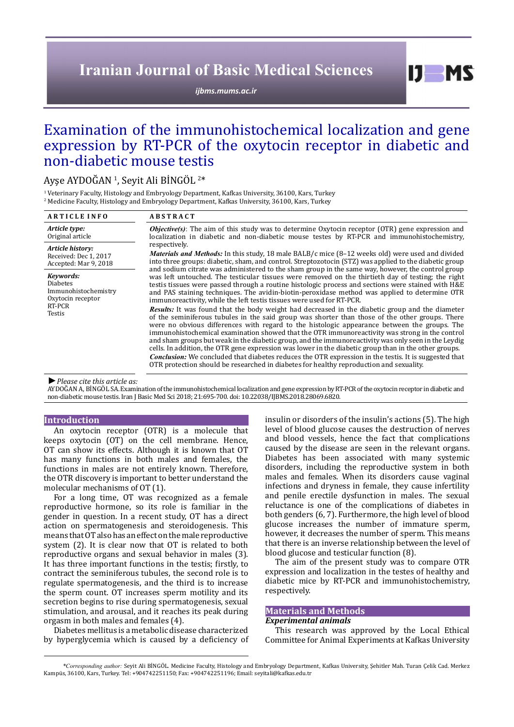# **Iranian Journal of Basic Medical Sciences**

*[ijbms.mums.ac.ir](http://ijbms.mums.ac.ir)*

 $I$   $I$   $M$   $S$ 

# Examination of the immunohistochemical localization and gene expression by RT-PCR of the oxytocin receptor in diabetic and non-diabetic mouse testis

# Ayşe AYDOGAN <sup>1</sup>, Seyit Ali BINGOL  $^{2*}$

<sup>1</sup> Veterinary Faculty, Histology and Embryology Department, Kafkas University, 36100, Kars, Turkey 2 Medicine Faculty, Histology and Embryology Department, Kafkas University, 36100, Kars, Turkey

| <b>ARTICLE INFO</b>                                                                           | <b>ABSTRACT</b>                                                                                                                                                                                                                                                                                                                                                                                                                                                                                                                                                                                                              |  |  |
|-----------------------------------------------------------------------------------------------|------------------------------------------------------------------------------------------------------------------------------------------------------------------------------------------------------------------------------------------------------------------------------------------------------------------------------------------------------------------------------------------------------------------------------------------------------------------------------------------------------------------------------------------------------------------------------------------------------------------------------|--|--|
| Article type:<br>Original article                                                             | <b><i>Objective(s)</i></b> : The aim of this study was to determine Oxytocin receptor (OTR) gene expression and<br>localization in diabetic and non-diabetic mouse testes by RT-PCR and immunohistochemistry,<br>respectively.<br><i>Materials and Methods:</i> In this study, 18 male BALB/c mice (8–12 weeks old) were used and divided<br>into three groups: diabetic, sham, and control. Streptozotocin (STZ) was applied to the diabetic group<br>and sodium citrate was administered to the sham group in the same way, however, the control group                                                                     |  |  |
| Article history:<br>Received: Dec 1, 2017<br>Accepted: Mar 9, 2018                            |                                                                                                                                                                                                                                                                                                                                                                                                                                                                                                                                                                                                                              |  |  |
| Keywords:<br><b>Diabetes</b><br>Immunohistochemistry<br>Oxytocin receptor<br>RT-PCR<br>Testis | was left untouched. The testicular tissues were removed on the thirtieth day of testing; the right<br>testis tissues were passed through a routine histologic process and sections were stained with H&E<br>and PAS staining techniques. The avidin-biotin-peroxidase method was applied to determine OTR<br>immunoreactivity, while the left testis tissues were used for RT-PCR.                                                                                                                                                                                                                                           |  |  |
|                                                                                               | <b>Results:</b> It was found that the body weight had decreased in the diabetic group and the diameter<br>of the seminiferous tubules in the said group was shorter than those of the other groups. There<br>were no obvious differences with regard to the histologic appearance between the groups. The<br>immunohistochemical examination showed that the OTR immunoreactivity was strong in the control<br>and sham groups but weak in the diabetic group, and the immunoreactivity was only seen in the Leydig<br>cells. In addition, the OTR gene expression was lower in the diabetic group than in the other groups. |  |  |
|                                                                                               | <i>Conclusion:</i> We concluded that diabetes reduces the OTR expression in the testis. It is suggested that<br>OTR protection should be researched in diabetes for healthy reproduction and sexuality.                                                                                                                                                                                                                                                                                                                                                                                                                      |  |  |
| $\blacktriangleright$ Plansa cita this articla as:                                            |                                                                                                                                                                                                                                                                                                                                                                                                                                                                                                                                                                                                                              |  |  |

# *►Please cite this article as:*

AYDOĞAN A, BİNGÖL SA. Examination of the immunohistochemical localization and gene expression by RT-PCR of the oxytocin receptor in diabetic and non-diabetic mouse testis. Iran J Basic Med Sci 2018; 21:695-700. doi: 10.22038/IJBMS.2018.28069.6820.

# **Introduction**

An oxytocin receptor (OTR) is a molecule that keeps oxytocin (OT) on the cell membrane. Hence, OT can show its effects. Although it is known that OT has many functions in both males and females, the functions in males are not entirely known. Therefore, the OTR discovery is important to better understand the molecular mechanisms of OT (1).

For a long time, OT was recognized as a female reproductive hormone, so its role is familiar in the gender in question. In a recent study, OT has a direct action on spermatogenesis and steroidogenesis. This means that OT also has an effect on the male reproductive system (2). It is clear now that OT is related to both reproductive organs and sexual behavior in males (3). It has three important functions in the testis; firstly, to contract the seminiferous tubules, the second role is to regulate spermatogenesis, and the third is to increase the sperm count. OT increases sperm motility and its secretion begins to rise during spermatogenesis, sexual stimulation, and arousal, and it reaches its peak during orgasm in both males and females (4).

Diabetes mellitus is a metabolic disease characterized by hyperglycemia which is caused by a deficiency of insulin or disorders of the insulin's actions (5). The high level of blood glucose causes the destruction of nerves and blood vessels, hence the fact that complications caused by the disease are seen in the relevant organs. Diabetes has been associated with many systemic disorders, including the reproductive system in both males and females. When its disorders cause vaginal infections and dryness in female, they cause infertility and penile erectile dysfunction in males. The sexual reluctance is one of the complications of diabetes in both genders (6, 7). Furthermore, the high level of blood glucose increases the number of immature sperm, however, it decreases the number of sperm. This means that there is an inverse relationship between the level of blood glucose and testicular function (8).

The aim of the present study was to compare OTR expression and localization in the testes of healthy and diabetic mice by RT-PCR and immunohistochemistry, respectively.

# **Materials and Methods**

### *Experimental animals*

This research was approved by the Local Ethical Committee for Animal Experiments at Kafkas University

*\*Corresponding author:* Seyit Ali BİNGÖL. Medicine Faculty, Histology and Embryology Department, Kafkas University, Şehitler Mah. Turan Çelik Cad. Merkez Kampüs, 36100, Kars, Turkey. Tel: +904742251150; Fax: +904742251196; Email: seyitali@kafkas.edu.tr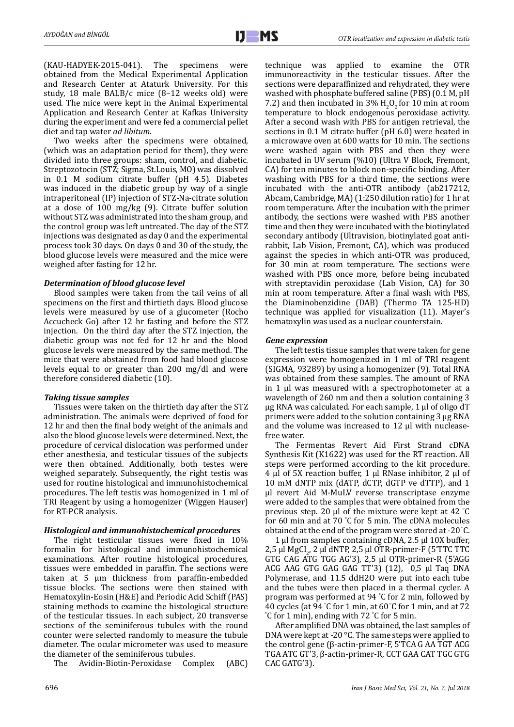(KAU-HADYEK-2015-041). The specimens were obtained from the Medical Experimental Application and Research Center at Ataturk University. For this study, 18 male BALB/c mice (8–12 weeks old) were used. The mice were kept in the Animal Experimental Application and Research Center at Kafkas University during the experiment and were fed a commercial pellet diet and tap water *ad libitum*.

Two weeks after the specimens were obtained, (which was an adaptation period for them), they were divided into three groups: sham, control, and diabetic. Streptozotocin (STZ; Sigma, St.Louis, MO) was dissolved in 0.1 M sodium citrate buffer (pH 4.5). Diabetes was induced in the diabetic group by way of a single intraperitoneal (IP) injection of STZ-Na-citrate solution at a dose of 100 mg/kg (9). Citrate buffer solution without STZ was administrated into the sham group, and the control group was left untreated. The day of the STZ injections was designated as day 0 and the experimental process took 30 days. On days 0 and 30 of the study, the blood glucose levels were measured and the mice were weighed after fasting for 12 hr.

# *Determination of blood glucose level*

Blood samples were taken from the tail veins of all specimens on the first and thirtieth days. Blood glucose levels were measured by use of a glucometer (Rocho Accucheck Go) after 12 hr fasting and before the STZ injection. On the third day after the STZ injection, the diabetic group was not fed for 12 hr and the blood glucose levels were measured by the same method. The mice that were abstained from food had blood glucose levels equal to or greater than 200 mg/dl and were therefore considered diabetic (10).

# *Taking tissue samples*

Tissues were taken on the thirtieth day after the STZ administration. The animals were deprived of food for 12 hr and then the final body weight of the animals and also the blood glucose levels were determined. Next, the procedure of cervical dislocation was performed under ether anesthesia, and testicular tissues of the subjects were then obtained. Additionally, both testes were weighed separately. Subsequently, the right testis was used for routine histological and immunohistochemical procedures. The left testis was homogenized in 1 ml of TRI Reagent by using a homogenizer (Wiggen Hauser) for RT-PCR analysis.

# *Histological and immunohistochemical procedures*

The right testicular tissues were fixed in 10% formalin for histological and immunohistochemical examinations. After routine histological procedures, tissues were embedded in paraffin. The sections were taken at 5 µm thickness from paraffin-embedded tissue blocks. The sections were then stained with Hematoxylin-Eosin (H&E) and Periodic Acid Schiff (PAS) staining methods to examine the histological structure of the testicular tissues. In each subject, 20 transverse sections of the seminiferous tubules with the round counter were selected randomly to measure the tubule diameter. The ocular micrometer was used to measure

the diameter of the seminiferous tubules.<br>The Avidin-Biotin-Peroxidase Complex Avidin-Biotin-Peroxidase Complex (ABC) technique was applied to examine the OTR immunoreactivity in the testicular tissues. After the sections were deparaffinized and rehydrated, they were washed with phosphate buffered saline (PBS) (0.1 M, pH  $7.2$ ) and then incubated in 3%  $H_2O_2$  for 10 min at room temperature to block endogenous peroxidase activity. After a second wash with PBS for antigen retrieval, the sections in 0.1 M citrate buffer (pH 6.0) were heated in a microwave oven at 600 watts for 10 min. The sections were washed again with PBS and then they were incubated in UV serum (%10) (Ultra V Block, Fremont, CA) for ten minutes to block non-specific binding. After washing with PBS for a third time, the sections were incubated with the anti-OTR antibody (ab217212, Abcam, Cambridge, MA) (1:250 dilution ratio) for 1 hr at room temperature. After the incubation with the primer antibody, the sections were washed with PBS another time and then they were incubated with the biotinylated secondary antibody (Ultravision, biotinylated goat antirabbit, Lab Vision, Fremont, CA), which was produced against the species in which anti-OTR was produced, for 30 min at room temperature. The sections were washed with PBS once more, before being incubated with streptavidin peroxidase (Lab Vision, CA) for 30 min at room temperature. After a final wash with PBS, the Diaminobenzidine (DAB) (Thermo TA 125-HD) technique was applied for visualization (11). Mayer's hematoxylin was used as a nuclear counterstain.

# *Gene expression*

The left testis tissue samples that were taken for gene expression were homogenized in 1 ml of TRI reagent (SIGMA, 93289) by using a homogenizer (9). Total RNA was obtained from these samples. The amount of RNA in 1 µl was measured with a spectrophotometer at a wavelength of 260 nm and then a solution containing 3 µg RNA was calculated. For each sample, 1 µl of oligo dT primers were added to the solution containing 3 µg RNA and the volume was increased to 12 µl with nucleasefree water.

The Fermentas Revert Aid First Strand cDNA Synthesis Kit (K1622) was used for the RT reaction. All steps were performed according to the kit procedure. 4 µl of 5X reaction buffer, 1 µl RNase inhibitor, 2 µl of 10 mM dNTP mix (dATP, dCTP, dGTP ve dTTP), and 1 µl revert Aid M-MuLV reverse transcriptase enzyme were added to the samples that were obtained from the previous step. 20  $\mu$ l of the mixture were kept at 42 °C for 60 min and at 70 ° C for 5 min. The cDNA molecules obtained at the end of the program were stored at -20 °C.

1 µl from samples containing cDNA, 2.5 µl 10X buffer, 2,5 µl MgCl<sub>2</sub>, 2 µl dNTP, 2,5 µl OTR-primer-F (5'TTC TTC<br>0FB 0A0 AFB FOO 10'0), 3 F - 1.0FB GTG CAG ATG TGG AG'3), 2,5 µl OTR-primer-R (5'AGG ACG AAG GTG GAG GAG TT'3) (12), 0,5 µl Taq DNA Polymerase, and 11.5 ddH2O were put into each tube and the tubes were then placed in a thermal cycler. A program was performed at 94 ° C for 2 min, followed by 40 cycles (at 94 ° C for 1 min, at 60 °C for 1 min, and at 72 ° C for 1 min), ending with 72 ° C for 5 min.

After amplified DNA was obtained, the last samples of DNA were kept at -20 °C. The same steps were applied to the control gene (β-actin-primer-F, 5'TCA G AA TGT ACG TGA ATC GT'3, β-actin-primer-R, CCT GAA CAT TGC GTG CAC GATG'3).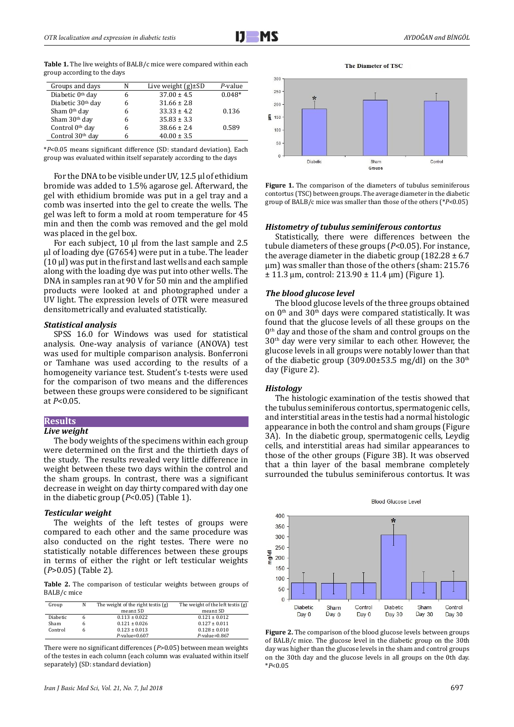Table 1. The live weights of BALB/c mice were compared within each group according to the days

| Groups and days              | N | Live weight $(g) \pm SD$ | P-value  |
|------------------------------|---|--------------------------|----------|
| Diabetic 0 <sup>th</sup> day | 6 | $37.00 \pm 4.5$          | $0.048*$ |
| Diabetic 30th day            | 6 | $31.66 \pm 2.8$          |          |
| Sham 0 <sup>th</sup> day     | 6 | $33.33 \pm 4.2$          | 0.136    |
| Sham 30 <sup>th</sup> day    | 6 | $35.83 \pm 3.3$          |          |
| Control 0 <sup>th</sup> day  | 6 | $38.66 \pm 2.4$          | 0.589    |
| Control 30 <sup>th</sup> day |   | $40.00 \pm 3.5$          |          |

\**P*<0.05 means significant difference (SD: standard deviation). Each group was evaluated within itself separately according to the days

For the DNA to be visible under UV, 12.5 µl of ethidium bromide was added to 1.5% agarose gel. Afterward, the gel with ethidium bromide was put in a gel tray and a comb was inserted into the gel to create the wells. The gel was left to form a mold at room temperature for 45 min and then the comb was removed and the gel mold was placed in the gel box.

For each subject, 10  $\mu$ l from the last sample and 2.5 µl of loading dye (G7654) were put in a tube. The leader (10 µl) was put in the first and last wells and each sample along with the loading dye was put into other wells. The DNA in samples ran at 90 V for 50 min and the amplified products were looked at and photographed under a UV light. The expression levels of OTR were measured densitometrically and evaluated statistically.

# *Statistical analysis*

SPSS 16.0 for Windows was used for statistical analysis. One-way analysis of variance (ANOVA) test was used for multiple comparison analysis. Bonferroni or Tamhane was used according to the results of a homogeneity variance test. Student's t-tests were used for the comparison of two means and the differences between these groups were considered to be significant at *P*<0.05.

### **Results**

#### *Live weight*

The body weights of the specimens within each group were determined on the first and the thirtieth days of the study. The results revealed very little difference in weight between these two days within the control and the sham groups. In contrast, there was a significant decrease in weight on day thirty compared with day one in the diabetic group (*P*<0.05) (Table 1).

### *Testicular weight*

The weights of the left testes of groups were compared to each other and the same procedure was also conducted on the right testes. There were no statistically notable differences between these groups in terms of either the right or left testicular weights (*P*>0.05) (Table 2).

Table 2. The comparison of testicular weights between groups of BALB/c mice

| Group    | N | The weight of the right testis (g) | The weight of the left testis (g) |
|----------|---|------------------------------------|-----------------------------------|
|          |   | mean ± SD                          | mean ± SD                         |
| Diabetic |   | $0.113 \pm 0.022$                  | $0.121 \pm 0.012$                 |
| Sham     | h | $0.121 \pm 0.026$                  | $0.127 \pm 0.011$                 |
| Control  | h | $0.123 \pm 0.013$                  | $0.128 \pm 0.010$                 |
|          |   | $P$ -value=0.607                   | $P$ -value=0.867                  |
|          |   |                                    |                                   |

There were no significant differences (*P*>0.05) between mean weights of the testes in each column (each column was evaluated within itself separately) (SD: standard deviation)



The Diameter of TSC

Figure 1. The comparison of the diameters of tubulus seminiferous contortus (TSC) between groups. The average diameter in the diabetic group of BALB/c mice was smaller than those of the others (\**P*<0.05)

#### *Histometry of tubulus seminiferous contortus*

Statistically, there were differences between the tubule diameters of these groups (*P*<0.05). For instance, the average diameter in the diabetic group  $(182.28 \pm 6.7)$ µm) was smaller than those of the others (sham: 215.76  $\pm$  11.3 µm, control: 213.90  $\pm$  11.4 µm) (Figure 1).

#### *The blood glucose level*

The blood glucose levels of the three groups obtained on  $0<sup>th</sup>$  and  $30<sup>th</sup>$  days were compared statistically. It was found that the glucose levels of all these groups on the  $0<sup>th</sup>$  day and those of the sham and control groups on the  $30<sup>th</sup>$  day were very similar to each other. However, the glucose levels in all groups were notably lower than that of the diabetic group  $(309.00\pm53.5 \text{ mg/dl})$  on the  $30^{\text{th}}$ day (Figure 2).

#### *Histology*

The histologic examination of the testis showed that the tubulus seminiferous contortus, spermatogenic cells, and interstitial areas in the testis had a normal histologic appearance in both the control and sham groups (Figure 3A). In the diabetic group, spermatogenic cells, Leydig cells, and interstitial areas had similar appearances to those of the other groups (Figure 3B). It was observed that a thin layer of the basal membrane completely surrounded the tubulus seminiferous contortus. It was





Figure 2. The comparison of the blood glucose levels between groups of BALB/c mice. The glucose level in the diabetic group on the 30th day was higher than the glucose levels in the sham and control groups on the 30th day and the glucose levels in all groups on the 0th day. \**P*<0.05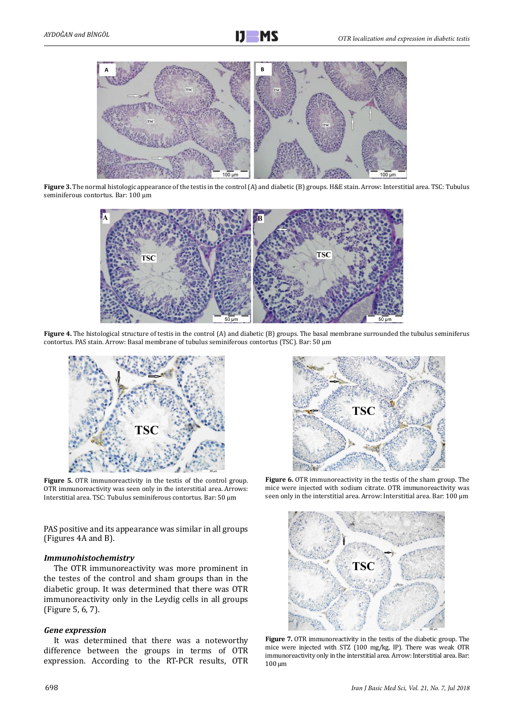

**Figure 3.** The normal histologic appearance of the testis in the control (A) and diabetic (B) groups. H&E stain. Arrow: Interstitial area. TSC: Tubulus seminiferous contortus. Bar: 100 μm



**Figure 4.** The histological structure of testis in the control (A) and diabetic (B) groups. The basal membrane surrounded the tubulus seminiferus contortus. PAS stain. Arrow: Basal membrane of tubulus seminiferous contortus (TSC). Bar: 50 μm



Figure 5. OTR immunoreactivity in the testis of the control group. OTR immunoreactivity was seen only in the interstitial area. Arrows: Interstitial area. TSC: Tubulus seminiferous contortus. Bar: 50 μm

PAS positive and its appearance was similar in all groups (Figures 4A and B).

# *Immunohistochemistry*

The OTR immunoreactivity was more prominent in the testes of the control and sham groups than in the diabetic group. It was determined that there was OTR immunoreactivity only in the Leydig cells in all groups (Figure 5, 6, 7).

# *Gene expression*

It was determined that there was a noteworthy difference between the groups in terms of OTR expression. According to the RT-PCR results, OTR



**Figure 6.** OTR immunoreactivity in the testis of the sham group. The mice were injected with sodium citrate. OTR immunoreactivity was seen only in the interstitial area. Arrow: Interstitial area. Bar: 100 μm



**Figure 7.** OTR immunoreactivity in the testis of the diabetic group. The mice were injected with STZ (100 mg/kg, IP). There was weak OTR immunoreactivity only in the interstitial area. Arrow: Interstitial area. Bar: 100 μm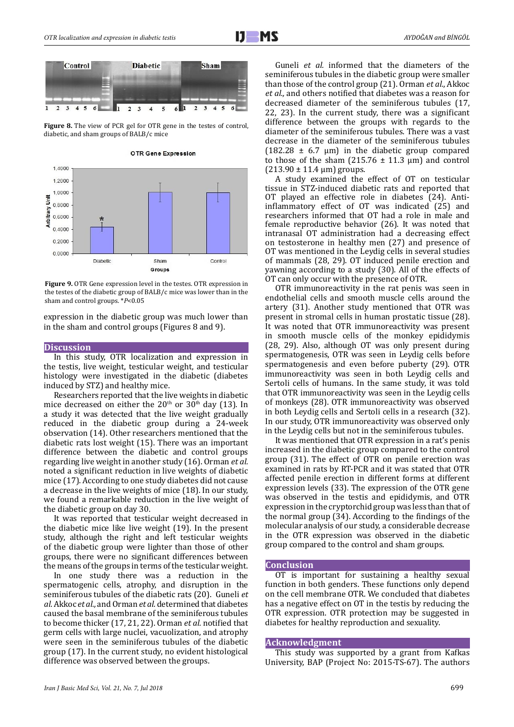

Figure 8. The view of PCR gel for OTR gene in the testes of control, diabetic, and sham groups of BALB/c mice



**OTR Gene Expression** 

**Figure 9.** OTR Gene expression level in the testes. OTR expression in the testes of the diabetic group of BALB/c mice was lower than in the sham and control groups. \**P*<0.05

expression in the diabetic group was much lower than in the sham and control groups (Figures 8 and 9).

#### **Discussion**

In this study, OTR localization and expression in the testis, live weight, testicular weight, and testicular histology were investigated in the diabetic (diabetes induced by STZ) and healthy mice.

Researchers reported that the live weights in diabetic mice decreased on either the  $20<sup>th</sup>$  or  $30<sup>th</sup>$  day (13). In a study it was detected that the live weight gradually reduced in the diabetic group during a 24-week observation (14). Other researchers mentioned that the diabetic rats lost weight (15). There was an important difference between the diabetic and control groups regarding live weight in another study (16). Orman *et al.* noted a significant reduction in live weights of diabetic mice (17). According to one study diabetes did not cause a decrease in the live weights of mice (18). In our study, we found a remarkable reduction in the live weight of the diabetic group on day 30.

It was reported that testicular weight decreased in the diabetic mice like live weight (19). In the present study, although the right and left testicular weights of the diabetic group were lighter than those of other groups, there were no significant differences between the means of the groups in terms of the testicular weight.

In one study there was a reduction in the spermatogenic cells, atrophy, and disruption in the seminiferous tubules of the diabetic rats (20). Guneli *et al.* Akkoc *et al.,* and Orman *et al.* determined that diabetes caused the basal membrane of the seminiferous tubules to become thicker (17, 21, 22). Orman *et al.* notified that germ cells with large nuclei, vacuolization, and atrophy were seen in the seminiferous tubules of the diabetic group (17). In the current study, no evident histological difference was observed between the groups.

Guneli *et al.* informed that the diameters of the seminiferous tubules in the diabetic group were smaller than those of the control group (21). Orman *et al.*, Akkoc *et al.,* and others notified that diabetes was a reason for decreased diameter of the seminiferous tubules (17, 22, 23). In the current study, there was a significant difference between the groups with regards to the diameter of the seminiferous tubules. There was a vast decrease in the diameter of the seminiferous tubules (182.28  $\pm$  6.7 µm) in the diabetic group compared to those of the sham (215.76  $\pm$  11.3 µm) and control  $(213.90 \pm 11.4 \text{ µm})$  groups.

A study examined the effect of OT on testicular tissue in STZ-induced diabetic rats and reported that OT played an effective role in diabetes (24). Antiinflammatory effect of OT was indicated (25) and researchers informed that OT had a role in male and female reproductive behavior (26). It was noted that intranasal OT administration had a decreasing effect on testosterone in healthy men (27) and presence of OT was mentioned in the Leydig cells in several studies of mammals (28, 29). OT induced penile erection and yawning according to a study (30). All of the effects of OT can only occur with the presence of OTR.

OTR immunoreactivity in the rat penis was seen in endothelial cells and smooth muscle cells around the artery (31). Another study mentioned that OTR was present in stromal cells in human prostatic tissue (28). It was noted that OTR immunoreactivity was present in smooth muscle cells of the monkey epididymis (28, 29). Also, although OT was only present during spermatogenesis, OTR was seen in Leydig cells before spermatogenesis and even before puberty (29). OTR immunoreactivity was seen in both Leydig cells and Sertoli cells of humans. In the same study, it was told that OTR immunoreactivity was seen in the Leydig cells of monkeys (28). OTR immunoreactivity was observed in both Leydig cells and Sertoli cells in a research (32). In our study, OTR immunoreactivity was observed only in the Leydig cells but not in the seminiferous tubules.

It was mentioned that OTR expression in a rat's penis increased in the diabetic group compared to the control group (31). The effect of OTR on penile erection was examined in rats by RT-PCR and it was stated that OTR affected penile erection in different forms at different expression levels (33). The expression of the OTR gene was observed in the testis and epididymis, and OTR expression in the cryptorchid group was less than that of the normal group (34). According to the findings of the molecular analysis of our study, a considerable decrease in the OTR expression was observed in the diabetic group compared to the control and sham groups.

#### **Conclusion**

OT is important for sustaining a healthy sexual function in both genders. These functions only depend on the cell membrane OTR. We concluded that diabetes has a negative effect on OT in the testis by reducing the OTR expression. OTR protection may be suggested in diabetes for healthy reproduction and sexuality.

#### **Acknowledgment**

This study was supported by a grant from Kafkas University, BAP (Project No: 2015-TS-67). The authors